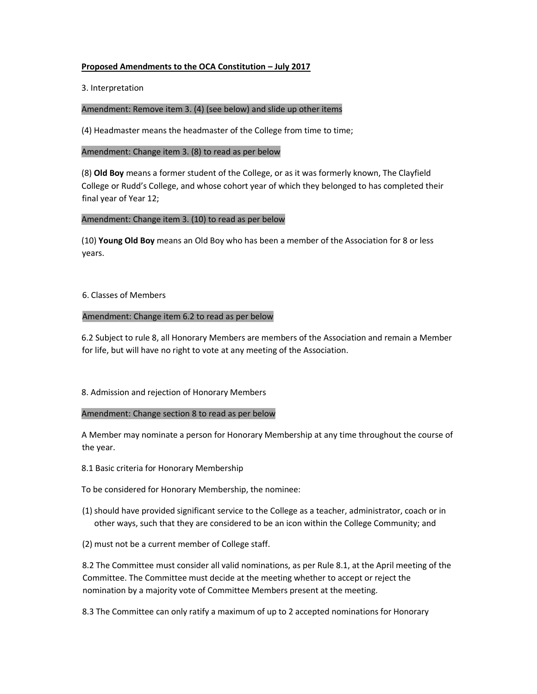## **Proposed Amendments to the OCA Constitution – July 2017**

3. Interpretation

## Amendment: Remove item 3. (4) (see below) and slide up other items

(4) Headmaster means the headmaster of the College from time to time;

### Amendment: Change item 3. (8) to read as per below

(8) **Old Boy** means a former student of the College, or as it was formerly known, The Clayfield College or Rudd's College, and whose cohort year of which they belonged to has completed their final year of Year 12;

## Amendment: Change item 3. (10) to read as per below

(10) **Young Old Boy** means an Old Boy who has been a member of the Association for 8 or less years.

### 6. Classes of Members

## Amendment: Change item 6.2 to read as per below

6.2 Subject to rule 8, all Honorary Members are members of the Association and remain a Member for life, but will have no right to vote at any meeting of the Association.

# 8. Admission and rejection of Honorary Members

### Amendment: Change section 8 to read as per below

A Member may nominate a person for Honorary Membership at any time throughout the course of the year.

- 8.1 Basic criteria for Honorary Membership
- To be considered for Honorary Membership, the nominee:
- (1) should have provided significant service to the College as a teacher, administrator, coach or in other ways, such that they are considered to be an icon within the College Community; and
- (2) must not be a current member of College staff.

8.2 The Committee must consider all valid nominations, as per Rule 8.1, at the April meeting of the Committee. The Committee must decide at the meeting whether to accept or reject the nomination by a majority vote of Committee Members present at the meeting.

8.3 The Committee can only ratify a maximum of up to 2 accepted nominations for Honorary